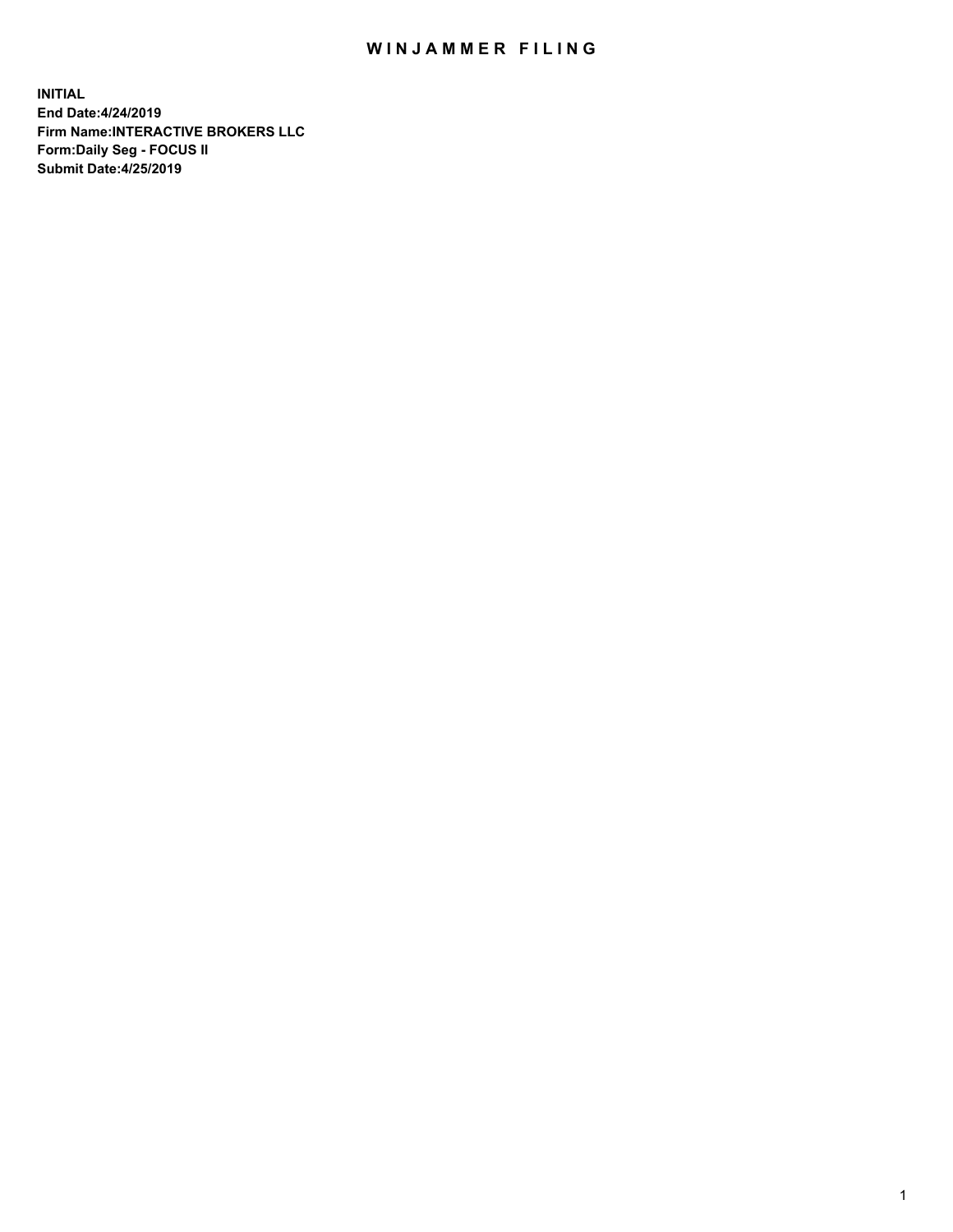## WIN JAMMER FILING

**INITIAL End Date:4/24/2019 Firm Name:INTERACTIVE BROKERS LLC Form:Daily Seg - FOCUS II Submit Date:4/25/2019**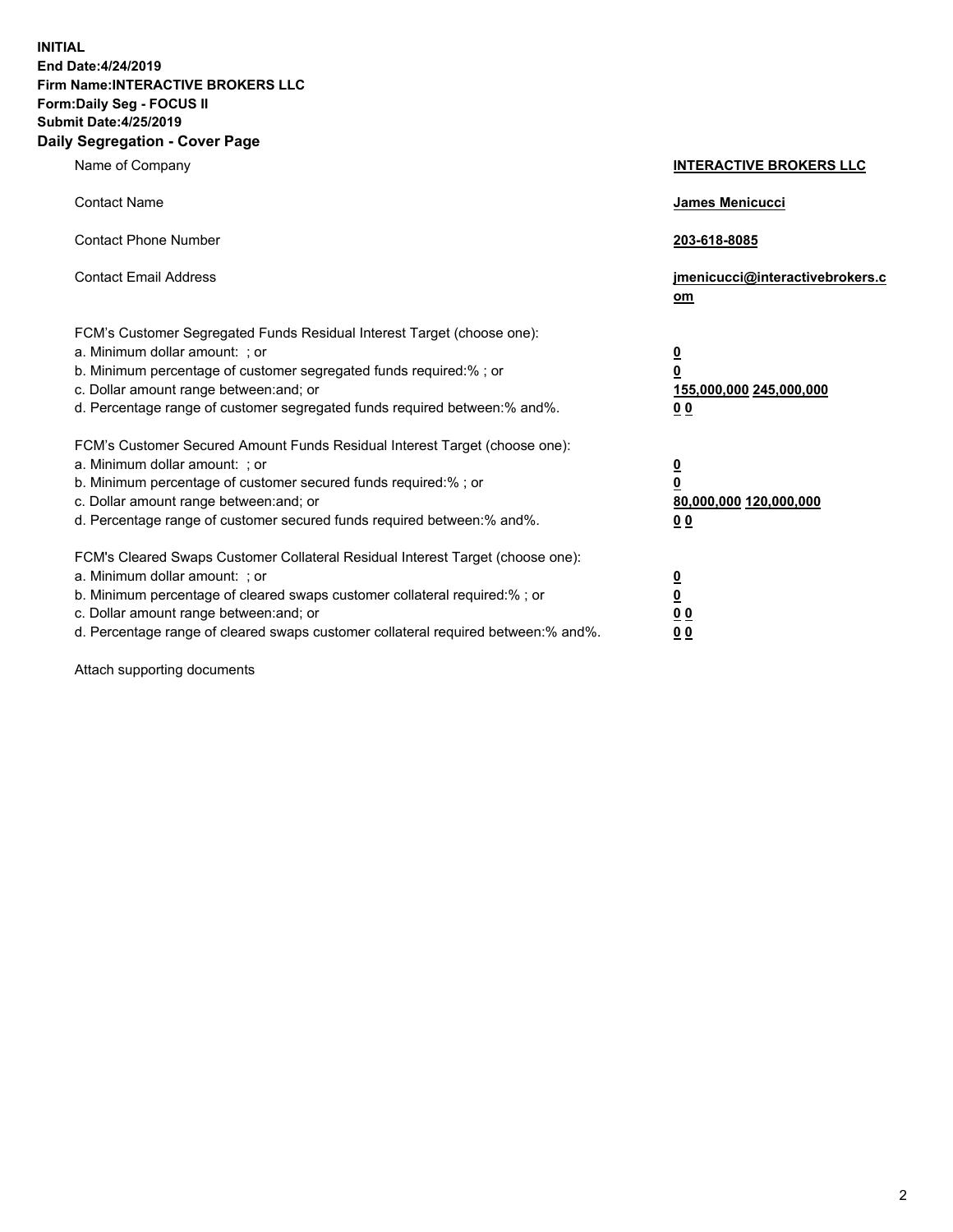**INITIAL End Date:4/24/2019 Firm Name:INTERACTIVE BROKERS LLC Form:Daily Seg - FOCUS II Submit Date:4/25/2019 Daily Segregation - Cover Page**

| Name of Company                                                                                                                                                                                                                                                                                                                | <b>INTERACTIVE BROKERS LLC</b>                                                                  |
|--------------------------------------------------------------------------------------------------------------------------------------------------------------------------------------------------------------------------------------------------------------------------------------------------------------------------------|-------------------------------------------------------------------------------------------------|
| <b>Contact Name</b>                                                                                                                                                                                                                                                                                                            | James Menicucci                                                                                 |
| <b>Contact Phone Number</b>                                                                                                                                                                                                                                                                                                    | 203-618-8085                                                                                    |
| <b>Contact Email Address</b>                                                                                                                                                                                                                                                                                                   | jmenicucci@interactivebrokers.c<br>om                                                           |
| FCM's Customer Segregated Funds Residual Interest Target (choose one):<br>a. Minimum dollar amount: ; or<br>b. Minimum percentage of customer segregated funds required:% ; or<br>c. Dollar amount range between: and; or<br>d. Percentage range of customer segregated funds required between:% and%.                         | $\overline{\mathbf{0}}$<br>$\overline{\mathbf{0}}$<br>155,000,000 245,000,000<br>0 <sub>0</sub> |
| FCM's Customer Secured Amount Funds Residual Interest Target (choose one):<br>a. Minimum dollar amount: ; or<br>b. Minimum percentage of customer secured funds required:% ; or<br>c. Dollar amount range between: and; or<br>d. Percentage range of customer secured funds required between:% and%.                           | $\overline{\mathbf{0}}$<br>0<br>80,000,000 120,000,000<br>0 <sub>0</sub>                        |
| FCM's Cleared Swaps Customer Collateral Residual Interest Target (choose one):<br>a. Minimum dollar amount: ; or<br>b. Minimum percentage of cleared swaps customer collateral required:% ; or<br>c. Dollar amount range between: and; or<br>d. Percentage range of cleared swaps customer collateral required between:% and%. | $\overline{\mathbf{0}}$<br><u>0</u><br>$\underline{0}$ $\underline{0}$<br>00                    |

Attach supporting documents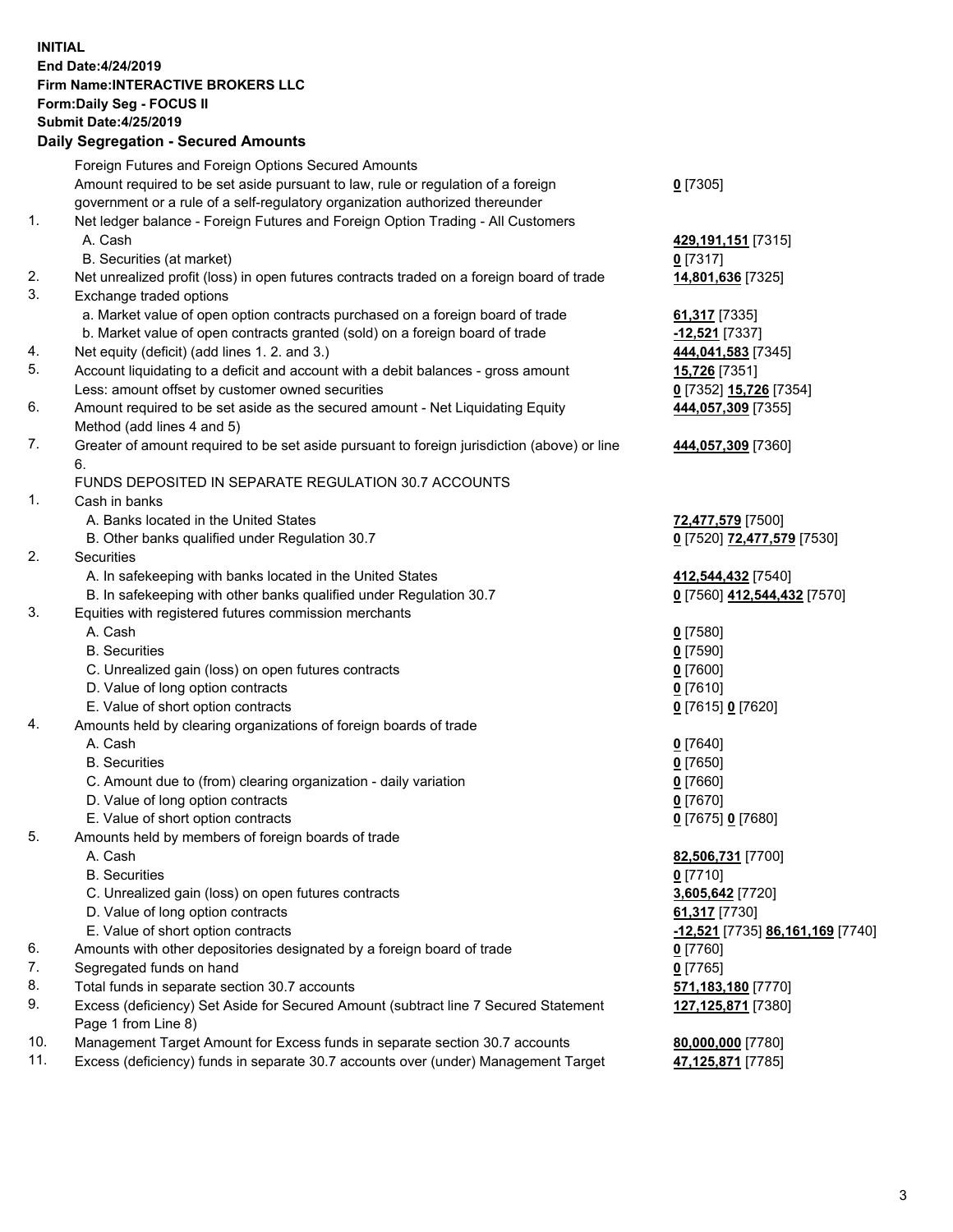## **INITIAL End Date:4/24/2019 Firm Name:INTERACTIVE BROKERS LLC Form:Daily Seg - FOCUS II Submit Date:4/25/2019 Daily Segregation - Secured Amounts**

|                | Dany Ocgregation - Oceaned Anioante                                                         |                                                      |
|----------------|---------------------------------------------------------------------------------------------|------------------------------------------------------|
|                | Foreign Futures and Foreign Options Secured Amounts                                         |                                                      |
|                | Amount required to be set aside pursuant to law, rule or regulation of a foreign            | $0$ [7305]                                           |
|                | government or a rule of a self-regulatory organization authorized thereunder                |                                                      |
| $\mathbf{1}$ . | Net ledger balance - Foreign Futures and Foreign Option Trading - All Customers             |                                                      |
|                | A. Cash                                                                                     | 429,191,151 [7315]                                   |
|                | B. Securities (at market)                                                                   | $0$ [7317]                                           |
| 2.             | Net unrealized profit (loss) in open futures contracts traded on a foreign board of trade   | 14,801,636 [7325]                                    |
| 3.             | Exchange traded options                                                                     |                                                      |
|                | a. Market value of open option contracts purchased on a foreign board of trade              | 61,317 [7335]                                        |
|                | b. Market value of open contracts granted (sold) on a foreign board of trade                | -12,521 [7337]                                       |
| 4.             | Net equity (deficit) (add lines 1.2. and 3.)                                                | 444,041,583 [7345]                                   |
| 5.             | Account liquidating to a deficit and account with a debit balances - gross amount           | <b>15,726</b> [7351]                                 |
|                | Less: amount offset by customer owned securities                                            | 0 [7352] 15,726 [7354]                               |
| 6.             | Amount required to be set aside as the secured amount - Net Liquidating Equity              | 444,057,309 [7355]                                   |
|                | Method (add lines 4 and 5)                                                                  |                                                      |
| 7.             | Greater of amount required to be set aside pursuant to foreign jurisdiction (above) or line | 444,057,309 [7360]                                   |
|                | 6.                                                                                          |                                                      |
|                | FUNDS DEPOSITED IN SEPARATE REGULATION 30.7 ACCOUNTS                                        |                                                      |
| $\mathbf{1}$ . | Cash in banks                                                                               |                                                      |
|                | A. Banks located in the United States                                                       | 72,477,579 [7500]                                    |
|                | B. Other banks qualified under Regulation 30.7                                              | 0 [7520] 72,477,579 [7530]                           |
| 2.             | Securities                                                                                  |                                                      |
|                | A. In safekeeping with banks located in the United States                                   | 412,544,432 [7540]                                   |
|                | B. In safekeeping with other banks qualified under Regulation 30.7                          | 0 [7560] 412,544,432 [7570]                          |
| 3.             | Equities with registered futures commission merchants                                       |                                                      |
|                | A. Cash                                                                                     | $0$ [7580]                                           |
|                | <b>B.</b> Securities                                                                        | $0$ [7590]                                           |
|                | C. Unrealized gain (loss) on open futures contracts                                         | $0$ [7600]                                           |
|                | D. Value of long option contracts                                                           | $0$ [7610]                                           |
|                | E. Value of short option contracts                                                          | 0 [7615] 0 [7620]                                    |
| 4.             | Amounts held by clearing organizations of foreign boards of trade                           |                                                      |
|                | A. Cash                                                                                     | $0$ [7640]                                           |
|                | <b>B.</b> Securities                                                                        | $0$ [7650]                                           |
|                | C. Amount due to (from) clearing organization - daily variation                             | $0$ [7660]                                           |
|                | D. Value of long option contracts                                                           | $0$ [7670]                                           |
|                | E. Value of short option contracts                                                          | 0 [7675] 0 [7680]                                    |
| 5.             | Amounts held by members of foreign boards of trade                                          |                                                      |
|                | A. Cash                                                                                     | 82,506,731 [7700]                                    |
|                | <b>B.</b> Securities                                                                        | $0$ [7710]                                           |
|                | C. Unrealized gain (loss) on open futures contracts                                         | 3,605,642 [7720]                                     |
|                | D. Value of long option contracts                                                           | 61,317 [7730]                                        |
|                | E. Value of short option contracts                                                          | <mark>-12,521</mark> [7735] <u>86,161,169</u> [7740] |
| 6.             | Amounts with other depositories designated by a foreign board of trade                      | <u>0</u> [7760]                                      |
| 7.             | Segregated funds on hand                                                                    | $0$ [7765]                                           |
| 8.             | Total funds in separate section 30.7 accounts                                               | 571,183,180 [7770]                                   |
| 9.             | Excess (deficiency) Set Aside for Secured Amount (subtract line 7 Secured Statement         | 127, 125, 871 [7380]                                 |
|                | Page 1 from Line 8)                                                                         |                                                      |
| 10.            | Management Target Amount for Excess funds in separate section 30.7 accounts                 | 80,000,000 [7780]                                    |
| 11.            | Excess (deficiency) funds in separate 30.7 accounts over (under) Management Target          | 47,125,871 [7785]                                    |
|                |                                                                                             |                                                      |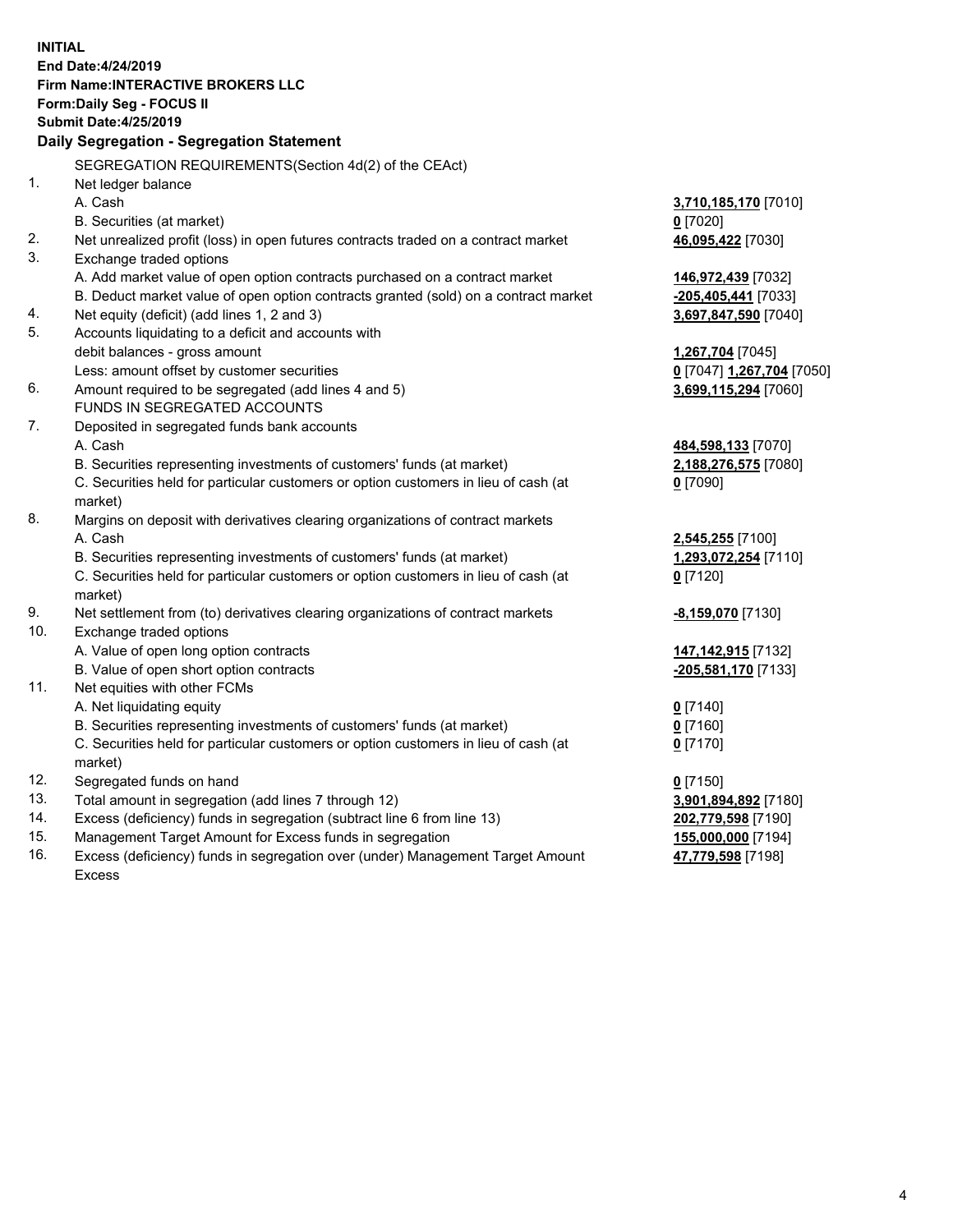**INITIAL End Date:4/24/2019 Firm Name:INTERACTIVE BROKERS LLC Form:Daily Seg - FOCUS II Submit Date:4/25/2019 Daily Segregation - Segregation Statement** SEGREGATION REQUIREMENTS(Section 4d(2) of the CEAct) 1. Net ledger balance A. Cash **3,710,185,170** [7010] B. Securities (at market) **0** [7020] 2. Net unrealized profit (loss) in open futures contracts traded on a contract market **46,095,422** [7030] 3. Exchange traded options A. Add market value of open option contracts purchased on a contract market **146,972,439** [7032] B. Deduct market value of open option contracts granted (sold) on a contract market **-205,405,441** [7033] 4. Net equity (deficit) (add lines 1, 2 and 3) **3,697,847,590** [7040] 5. Accounts liquidating to a deficit and accounts with debit balances - gross amount **1,267,704** [7045] Less: amount offset by customer securities **0** [7047] **1,267,704** [7050] 6. Amount required to be segregated (add lines 4 and 5) **3,699,115,294** [7060] FUNDS IN SEGREGATED ACCOUNTS 7. Deposited in segregated funds bank accounts A. Cash **484,598,133** [7070] B. Securities representing investments of customers' funds (at market) **2,188,276,575** [7080] C. Securities held for particular customers or option customers in lieu of cash (at market) **0** [7090] 8. Margins on deposit with derivatives clearing organizations of contract markets A. Cash **2,545,255** [7100] B. Securities representing investments of customers' funds (at market) **1,293,072,254** [7110] C. Securities held for particular customers or option customers in lieu of cash (at market) **0** [7120] 9. Net settlement from (to) derivatives clearing organizations of contract markets **-8,159,070** [7130] 10. Exchange traded options A. Value of open long option contracts **147,142,915** [7132] B. Value of open short option contracts **-205,581,170** [7133] 11. Net equities with other FCMs A. Net liquidating equity **0** [7140] B. Securities representing investments of customers' funds (at market) **0** [7160] C. Securities held for particular customers or option customers in lieu of cash (at market) **0** [7170] 12. Segregated funds on hand **0** [7150] 13. Total amount in segregation (add lines 7 through 12) **3,901,894,892** [7180] 14. Excess (deficiency) funds in segregation (subtract line 6 from line 13) **202,779,598** [7190] 15. Management Target Amount for Excess funds in segregation **155,000,000** [7194] **47,779,598** [7198]

16. Excess (deficiency) funds in segregation over (under) Management Target Amount Excess